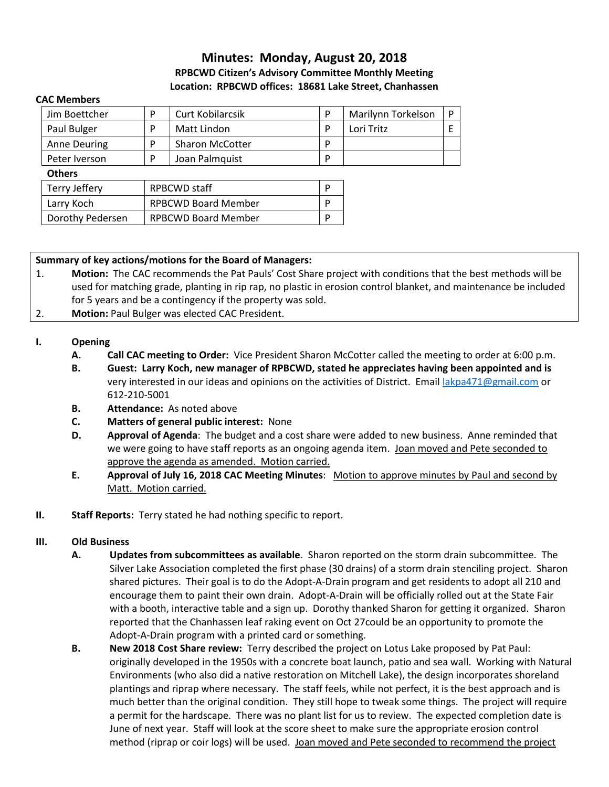# **Minutes: Monday, August 20, 2018 RPBCWD Citizen's Advisory Committee Monthly Meeting Location: RPBCWD offices: 18681 Lake Street, Chanhassen**

#### **CAC Members**

| Jim Boettcher |   | <b>Curt Kobilarcsik</b> | Marilynn Torkelson |  |
|---------------|---|-------------------------|--------------------|--|
| Paul Bulger   | D | Matt Lindon             | Lori Tritz         |  |
| Anne Deuring  | D | <b>Sharon McCotter</b>  |                    |  |
| Peter Iverson |   | Joan Palmquist          |                    |  |

#### **Others**

| Terry Jeffery    | RPBCWD staff               |  |
|------------------|----------------------------|--|
| Larry Koch       | <b>RPBCWD Board Member</b> |  |
| Dorothy Pedersen | <b>RPBCWD Board Member</b> |  |

### **Summary of key actions/motions for the Board of Managers:**

- 1. **Motion:** The CAC recommends the Pat Pauls' Cost Share project with conditions that the best methods will be used for matching grade, planting in rip rap, no plastic in erosion control blanket, and maintenance be included for 5 years and be a contingency if the property was sold.
- 2. **Motion:** Paul Bulger was elected CAC President.

## **I. Opening**

- **A. Call CAC meeting to Order:** Vice President Sharon McCotter called the meeting to order at 6:00 p.m.
- **B. Guest: Larry Koch, new manager of RPBCWD, stated he appreciates having been appointed and is** very interested in our ideas and opinions on the activities of District. Email [lakpa471@gmail.com](mailto:lakpa471@gmail.com6) or 612-210-5001
- **B. Attendance:** As noted above
- **C. Matters of general public interest:** None
- **D. Approval of Agenda**: The budget and a cost share were added to new business. Anne reminded that we were going to have staff reports as an ongoing agenda item. Joan moved and Pete seconded to approve the agenda as amended. Motion carried.
- **E. Approval of July 16, 2018 CAC Meeting Minutes**: Motion to approve minutes by Paul and second by Matt. Motion carried.
- **II. Staff Reports:** Terry stated he had nothing specific to report.

### **III. Old Business**

- **A. Updates from subcommittees as available**. Sharon reported on the storm drain subcommittee. The Silver Lake Association completed the first phase (30 drains) of a storm drain stenciling project. Sharon shared pictures. Their goal is to do the Adopt-A-Drain program and get residents to adopt all 210 and encourage them to paint their own drain. Adopt-A-Drain will be officially rolled out at the State Fair with a booth, interactive table and a sign up. Dorothy thanked Sharon for getting it organized. Sharon reported that the Chanhassen leaf raking event on Oct 27could be an opportunity to promote the Adopt-A-Drain program with a printed card or something.
- **B. New 2018 Cost Share review:** Terry described the project on Lotus Lake proposed by Pat Paul: originally developed in the 1950s with a concrete boat launch, patio and sea wall. Working with Natural Environments (who also did a native restoration on Mitchell Lake), the design incorporates shoreland plantings and riprap where necessary. The staff feels, while not perfect, it is the best approach and is much better than the original condition. They still hope to tweak some things. The project will require a permit for the hardscape. There was no plant list for us to review. The expected completion date is June of next year. Staff will look at the score sheet to make sure the appropriate erosion control method (riprap or coir logs) will be used. Joan moved and Pete seconded to recommend the project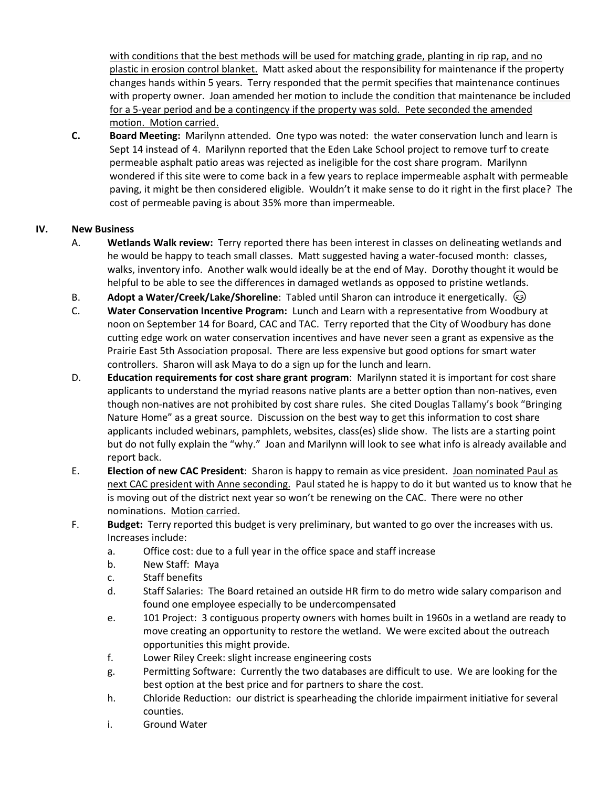with conditions that the best methods will be used for matching grade, planting in rip rap, and no plastic in erosion control blanket. Matt asked about the responsibility for maintenance if the property changes hands within 5 years. Terry responded that the permit specifies that maintenance continues with property owner. Joan amended her motion to include the condition that maintenance be included for a 5-year period and be a contingency if the property was sold. Pete seconded the amended motion. Motion carried.

**C. Board Meeting:** Marilynn attended. One typo was noted: the water conservation lunch and learn is Sept 14 instead of 4. Marilynn reported that the Eden Lake School project to remove turf to create permeable asphalt patio areas was rejected as ineligible for the cost share program. Marilynn wondered if this site were to come back in a few years to replace impermeable asphalt with permeable paving, it might be then considered eligible. Wouldn't it make sense to do it right in the first place? The cost of permeable paving is about 35% more than impermeable.

## **IV. New Business**

- A. **Wetlands Walk review:** Terry reported there has been interest in classes on delineating wetlands and he would be happy to teach small classes. Matt suggested having a water-focused month: classes, walks, inventory info. Another walk would ideally be at the end of May. Dorothy thought it would be helpful to be able to see the differences in damaged wetlands as opposed to pristine wetlands.
- B. **Adopt a Water/Creek/Lake/Shoreline**: Tabled until Sharon can introduce it energetically.
- C. **Water Conservation Incentive Program:** Lunch and Learn with a representative from Woodbury at noon on September 14 for Board, CAC and TAC. Terry reported that the City of Woodbury has done cutting edge work on water conservation incentives and have never seen a grant as expensive as the Prairie East 5th Association proposal. There are less expensive but good options for smart water controllers. Sharon will ask Maya to do a sign up for the lunch and learn.
- D. **Education requirements for cost share grant program**: Marilynn stated it is important for cost share applicants to understand the myriad reasons native plants are a better option than non-natives, even though non-natives are not prohibited by cost share rules. She cited Douglas Tallamy's book "Bringing Nature Home" as a great source. Discussion on the best way to get this information to cost share applicants included webinars, pamphlets, websites, class(es) slide show. The lists are a starting point but do not fully explain the "why." Joan and Marilynn will look to see what info is already available and report back.
- E. **Election of new CAC President**: Sharon is happy to remain as vice president. Joan nominated Paul as next CAC president with Anne seconding. Paul stated he is happy to do it but wanted us to know that he is moving out of the district next year so won't be renewing on the CAC. There were no other nominations. Motion carried.
- F. **Budget:** Terry reported this budget is very preliminary, but wanted to go over the increases with us. Increases include:
	- a. Office cost: due to a full year in the office space and staff increase
	- b. New Staff: Maya
	- c. Staff benefits
	- d. Staff Salaries: The Board retained an outside HR firm to do metro wide salary comparison and found one employee especially to be undercompensated
	- e. 101 Project: 3 contiguous property owners with homes built in 1960s in a wetland are ready to move creating an opportunity to restore the wetland. We were excited about the outreach opportunities this might provide.
	- f. Lower Riley Creek: slight increase engineering costs
	- g. Permitting Software: Currently the two databases are difficult to use. We are looking for the best option at the best price and for partners to share the cost.
	- h. Chloride Reduction: our district is spearheading the chloride impairment initiative for several counties.
	- i. Ground Water